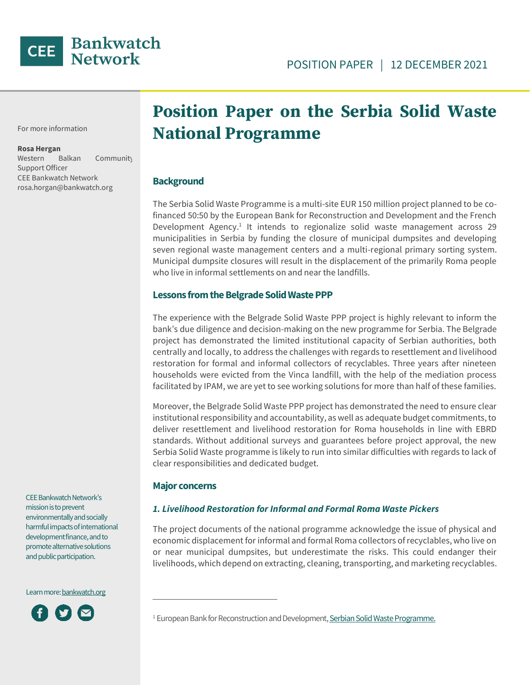

For more information

#### **Rosa Hergan**

Western Balkan Community Support Officer CEE Bankwatch Network rosa.horgan@bankwatch.org

# **Position Paper on the Serbia Solid Waste National Programme**

#### **Background**

The Serbia Solid Waste Programme is a multi-site EUR 150 million project planned to be cofinanced 50:50 by the European Bank for Reconstruction and Development and the French Development Agency.<sup>1</sup> It intends to regionalize solid waste management across 29 municipalities in Serbia by funding the closure of municipal dumpsites and developing seven regional waste management centers and a multi-regional primary sorting system. Municipal dumpsite closures will result in the displacement of the primarily Roma people who live in informal settlements on and near the landfills.

#### **Lessons from the Belgrade Solid Waste PPP**

The experience with the Belgrade Solid Waste PPP project is highly relevant to inform the bank's due diligence and decision-making on the new programme for Serbia. The Belgrade project has demonstrated the limited institutional capacity of Serbian authorities, both centrally and locally, to address the challenges with regards to resettlement and livelihood restoration for formal and informal collectors of recyclables. Three years after nineteen households were evicted from the Vinca landfill, with the help of the mediation process facilitated by IPAM, we are yet to see working solutions for more than half of these families.

Moreover, the Belgrade Solid Waste PPP project has demonstrated the need to ensure clear institutional responsibility and accountability, as well as adequate budget commitments, to deliver resettlement and livelihood restoration for Roma households in line with EBRD standards. Without additional surveys and guarantees before project approval, the new Serbia Solid Waste programme is likely to run into similar difficulties with regards to lack of clear responsibilities and dedicated budget.

#### **Major concerns**

#### *1. Livelihood Restoration for Informal and Formal Roma Waste Pickers*

The project documents of the national programme acknowledge the issue of physical and economic displacement for informal and formal Roma collectors of recyclables, who live on or near municipal dumpsites, but underestimate the risks. This could endanger their livelihoods, which depend on extracting, cleaning, transporting, and marketing recyclables.

CEE Bankwatch Network's mission is to prevent environmentally and socially harmful impacts of international development finance, and to promote alternative solutions and public participation.

Learn more: bankwatch.org



<sup>&</sup>lt;sup>1</sup> European Bank for Reconstruction and Development, Serbian Solid Waste Programme.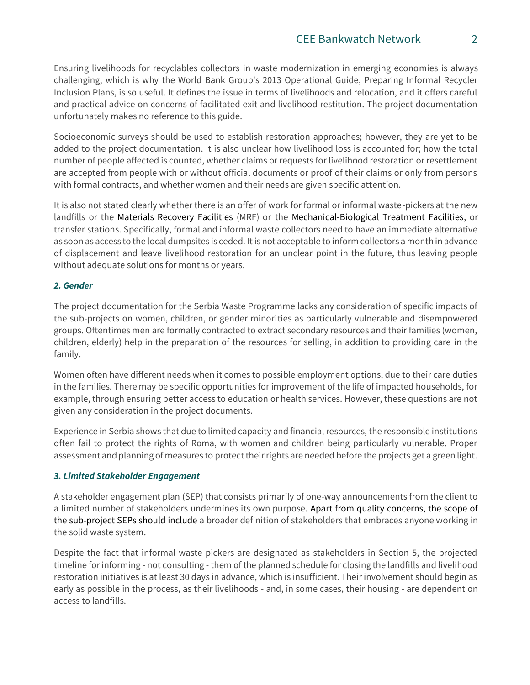Ensuring livelihoods for recyclables collectors in waste modernization in emerging economies is always challenging, which is why the World Bank Group's 2013 Operational Guide, Preparing Informal Recycler Inclusion Plans, is so useful. It defines the issue in terms of livelihoods and relocation, and it offers careful and practical advice on concerns of facilitated exit and livelihood restitution. The project documentation unfortunately makes no reference to this guide.

Socioeconomic surveys should be used to establish restoration approaches; however, they are yet to be added to the project documentation. It is also unclear how livelihood loss is accounted for; how the total number of people affected is counted, whether claims or requests for livelihood restoration or resettlement are accepted from people with or without official documents or proof of their claims or only from persons with formal contracts, and whether women and their needs are given specific attention.

It is also not stated clearly whether there is an offer of work for formal or informal waste-pickers at the new landfills or the Materials Recovery Facilities (MRF) or the Mechanical-Biological Treatment Facilities, or transfer stations. Specifically, formal and informal waste collectors need to have an immediate alternative as soon as access to the local dumpsites is ceded. It is not acceptable to inform collectors a month in advance of displacement and leave livelihood restoration for an unclear point in the future, thus leaving people without adequate solutions for months or years.

## *2. Gender*

The project documentation for the Serbia Waste Programme lacks any consideration of specific impacts of the sub-projects on women, children, or gender minorities as particularly vulnerable and disempowered groups. Oftentimes men are formally contracted to extract secondary resources and their families (women, children, elderly) help in the preparation of the resources for selling, in addition to providing care in the family.

Women often have different needs when it comes to possible employment options, due to their care duties in the families. There may be specific opportunities for improvement of the life of impacted households, for example, through ensuring better access to education or health services. However, these questions are not given any consideration in the project documents.

Experience in Serbia shows that due to limited capacity and financial resources, the responsible institutions often fail to protect the rights of Roma, with women and children being particularly vulnerable. Proper assessment and planning of measures to protect their rights are needed before the projects get a green light.

## *3. Limited Stakeholder Engagement*

A stakeholder engagement plan (SEP) that consists primarily of one-way announcements from the client to a limited number of stakeholders undermines its own purpose. Apart from quality concerns, the scope of the sub-project SEPs should include a broader definition of stakeholders that embraces anyone working in the solid waste system.

Despite the fact that informal waste pickers are designated as stakeholders in Section 5, the projected timeline for informing - not consulting - them of the planned schedule for closing the landfills and livelihood restoration initiatives is at least 30 days in advance, which is insufficient. Their involvement should begin as early as possible in the process, as their livelihoods - and, in some cases, their housing - are dependent on access to landfills.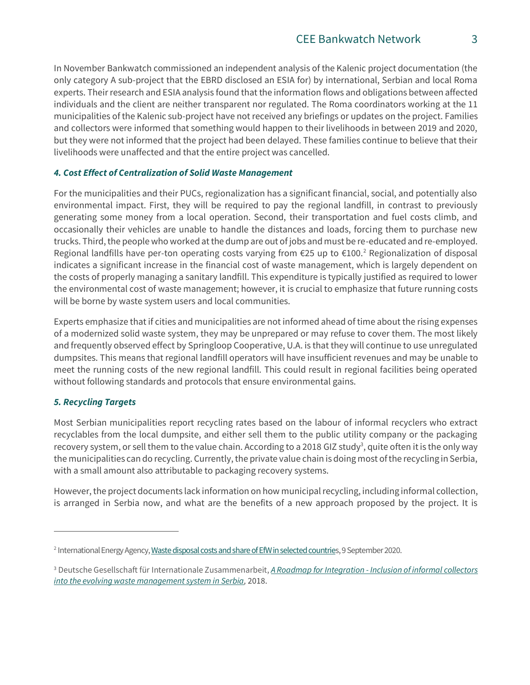In November Bankwatch commissioned an independent analysis of the Kalenic project documentation (the only category A sub-project that the EBRD disclosed an ESIA for) by international, Serbian and local Roma experts. Their research and ESIA analysis found that the information flows and obligations between affected individuals and the client are neither transparent nor regulated. The Roma coordinators working at the 11 municipalities of the Kalenic sub-project have not received any briefings or updates on the project. Families and collectors were informed that something would happen to their livelihoods in between 2019 and 2020, but they were not informed that the project had been delayed. These families continue to believe that their livelihoods were unaffected and that the entire project was cancelled.

## *4. Cost Effect of Centralization of Solid Waste Management*

For the municipalities and their PUCs, regionalization has a significant financial, social, and potentially also environmental impact. First, they will be required to pay the regional landfill, in contrast to previously generating some money from a local operation. Second, their transportation and fuel costs climb, and occasionally their vehicles are unable to handle the distances and loads, forcing them to purchase new trucks. Third, the people who worked at the dump are out of jobs and must be re-educated and re-employed. Regional landfills have per-ton operating costs varying from  $\epsilon$ 25 up to  $\epsilon$ 100.<sup>2</sup> Regionalization of disposal indicates a significant increase in the financial cost of waste management, which is largely dependent on the costs of properly managing a sanitary landfill. This expenditure is typically justified as required to lower the environmental cost of waste management; however, it is crucial to emphasize that future running costs will be borne by waste system users and local communities.

Experts emphasize that if cities and municipalities are not informed ahead of time about the rising expenses of a modernized solid waste system, they may be unprepared or may refuse to cover them. The most likely and frequently observed effect by Springloop Cooperative, U.A. is that they will continue to use unregulated dumpsites. This means that regional landfill operators will have insufficient revenues and may be unable to meet the running costs of the new regional landfill. This could result in regional facilities being operated without following standards and protocols that ensure environmental gains.

## *5. Recycling Targets*

Most Serbian municipalities report recycling rates based on the labour of informal recyclers who extract recyclables from the local dumpsite, and either sell them to the public utility company or the packaging recovery system, or sell them to the value chain. According to a 2018 GIZ study<sup>3</sup>, quite often it is the only way the municipalities can do recycling. Currently, the private value chain is doing most of the recycling in Serbia, with a small amount also attributable to packaging recovery systems.

However, the project documents lack information on how municipal recycling, including informal collection, is arranged in Serbia now, and what are the benefits of a new approach proposed by the project. It is

<sup>&</sup>lt;sup>2</sup> International Energy Agency, <u>Waste disposal costs and share of EfW in selected countrie</u>s, 9 September 2020.

<sup>3</sup> Deutsche Gesellschaft für Internationale Zusammenarbeit, *A Roadmap for Integration - [Inclusion of informal collectors](https://www.giz.de/en/downloads/inclusion-of-informal-collectors-into-the-evolving-waste-management.pdf)  [into the evolving waste management system in Serbia,](https://www.giz.de/en/downloads/inclusion-of-informal-collectors-into-the-evolving-waste-management.pdf)* 2018.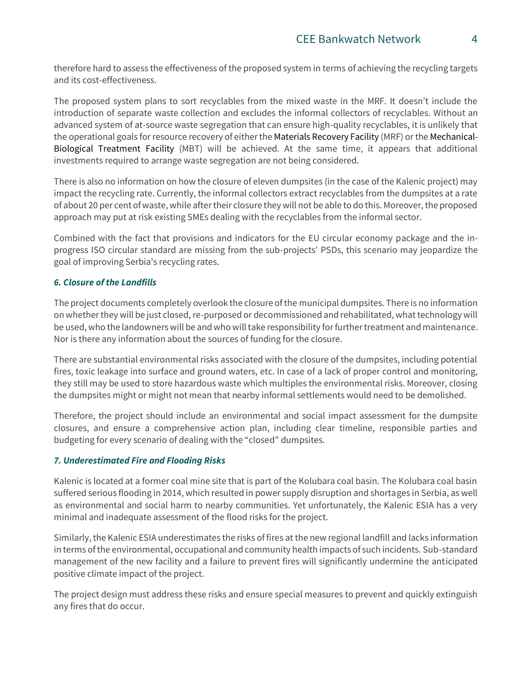therefore hard to assess the effectiveness of the proposed system in terms of achieving the recycling targets and its cost-effectiveness.

The proposed system plans to sort recyclables from the mixed waste in the MRF. It doesn't include the introduction of separate waste collection and excludes the informal collectors of recyclables. Without an advanced system of at-source waste segregation that can ensure high-quality recyclables, it is unlikely that the operational goals for resource recovery of either the Materials Recovery Facility (MRF) or the Mechanical-Biological Treatment Facility (MBT) will be achieved. At the same time, it appears that additional investments required to arrange waste segregation are not being considered.

There is also no information on how the closure of eleven dumpsites (in the case of the Kalenic project) may impact the recycling rate. Currently, the informal collectors extract recyclables from the dumpsites at a rate of about 20 per cent of waste, while after their closure they will not be able to do this. Moreover, the proposed approach may put at risk existing SMEs dealing with the recyclables from the informal sector.

Combined with the fact that provisions and indicators for the EU circular economy package and the inprogress ISO circular standard are missing from the sub-projects' PSDs, this scenario may jeopardize the goal of improving Serbia's recycling rates.

## *6. Closure of the Landfills*

The project documents completely overlook the closure of the municipal dumpsites. There is no information on whether they will be just closed, re-purposed or decommissioned and rehabilitated, what technology will be used, who the landowners will be and who will take responsibility for further treatment and maintenance. Nor is there any information about the sources of funding for the closure.

There are substantial environmental risks associated with the closure of the dumpsites, including potential fires, toxic leakage into surface and ground waters, etc. In case of a lack of proper control and monitoring, they still may be used to store hazardous waste which multiples the environmental risks. Moreover, closing the dumpsites might or might not mean that nearby informal settlements would need to be demolished.

Therefore, the project should include an environmental and social impact assessment for the dumpsite closures, and ensure a comprehensive action plan, including clear timeline, responsible parties and budgeting for every scenario of dealing with the "closed" dumpsites.

## *7. Underestimated Fire and Flooding Risks*

Kalenic is located at a former coal mine site that is part of the Kolubara coal basin. The Kolubara coal basin suffered serious flooding in 2014, which resulted in power supply disruption and shortages in Serbia, as well as environmental and social harm to nearby communities. Yet unfortunately, the Kalenic ESIA has a very minimal and inadequate assessment of the flood risks for the project.

Similarly, the Kalenic ESIA underestimates the risks of fires at the new regional landfill and lacks information in terms of the environmental, occupational and community health impacts of such incidents. Sub-standard management of the new facility and a failure to prevent fires will significantly undermine the anticipated positive climate impact of the project.

The project design must address these risks and ensure special measures to prevent and quickly extinguish any fires that do occur.